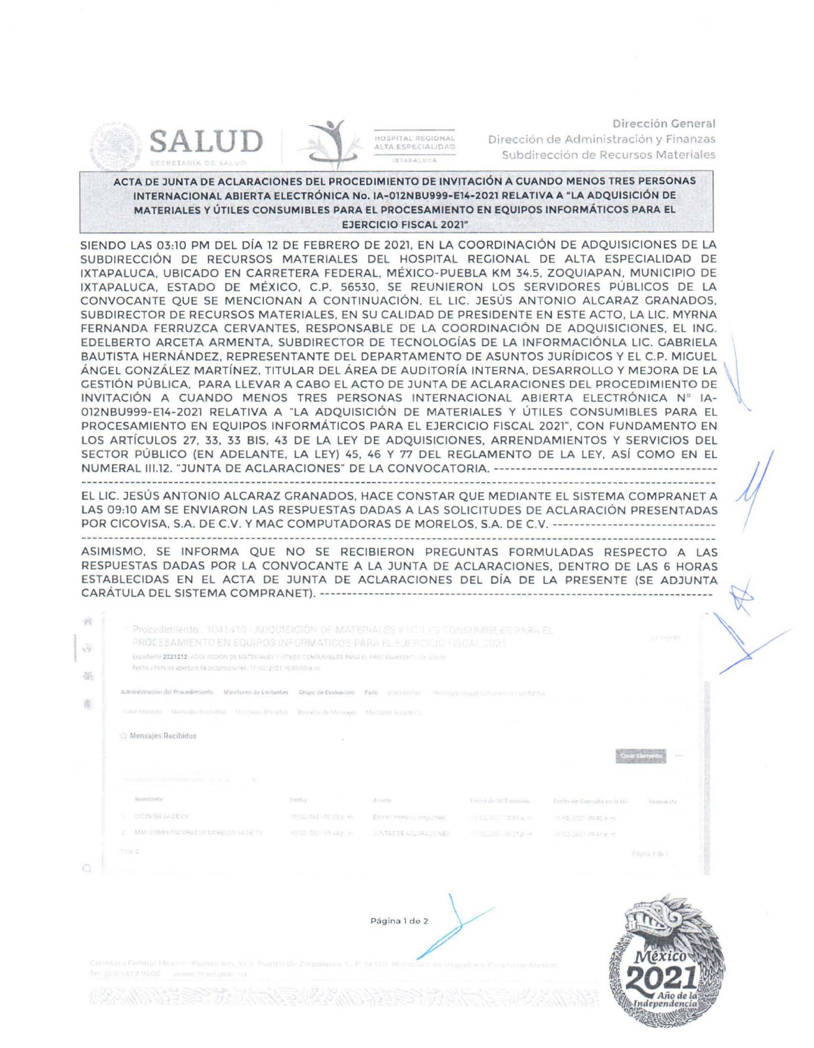



HOSPITAL REGIONAL<br>ALTA ESPECIALIDAD **STADATUOL** 

Dirección General Dirección de Administración y Finanzas Subdirección de Recursos Materiales

ACTA DE JUNTA DE ACLARACIONES DEL PROCEDIMIENTO DE INVITACIÓN A CUANDO MENOS TRES PERSONAS INTERNACIONAL ABIERTA ELECTRÓNICA No. IA-012NBU999-E14-2021 RELATIVA A " LA ADQUISICIÓN DE MATERIALES Y ÚTILES CONSUMIBLES PARA EL PROCESAMIENTO EN EQUIPOS INFORMÁTICOS PARA EL EJERCICIO FISCAL 2021"

SIENDO LAS 03:10 PM DEL DÍA 12 DE FEBRERO DE 2021, EN LA COORDINACIÓN DE ADQUISICIONES DE LA SUBDIRECCIÓN DE RECURSOS MATERIALES DEL HOSPITAL REGIONAL DE ALTA ESPECIALIDAD DE IXTAPALUCA, UBICADO EN CARRETERA FEDERAL. MÉXICO-PUEBLA KM 34.5, ZOQUIAPAN, MUNICIPIO DE IXTAPALUCA. ESTADO DE MÉXICO. C.P. 56530, SE REUNIERON LOS SERVIDORES PÚBLICOS DE LA CONVOCANTE QUE SE MENCIONAN A CONTINUACIÓN, EL LIC. JESÚS ANTONIO ALCARAZ GRANADOS, SUBDIRECTOR DE RECURSOS MATERIALES, EN SU CALIDAD DE PRESIDENTE EN ESTE ACTO, LA LIC. MYRNA FERNANDA FERRUZCA CERVANTES. RESPONSABLE DE LA COORDINACIÓN DE ADQUISICIONES, EL ING. EDELBERTO ARCETA ARMENTA, SUBDIRECTOR DE TECNOLOGÍAS DE LA INFORMACIÓNLA LIC. GABRIELA BAUTISTA HERNÁNDEZ. REPRESENTANTE DEL DEPARTAMENTO DE ASUNTOS JURÍDICOS Y EL C.P. MIGUEL ÁNGEL GONZÁLEZ MARTÍNEZ, TITULAR DEL ÁREA DE AUDITORÍA INTERNA, DESARROLLO Y MEJORA DE LA GESTIÓN PÚBLICA, PARA LLEVAR A CABO EL ACTO DE JUNTA DE ACLARACIONES DEL PROCEDIMIENTO DE INVITACIÓN A CUANDO MENOS TRES PERSONAS INTERNACIONAL ABIERTA ELECTRÓNICA Nº IA-012NBU999-El4-2021 RELATIVA A "LA ADQUISICIÓN DE MATERIALES Y ÚTILES CONSUMIBLES PARA EL PROCESAMIENTO EN EQUIPOS INFORMÁTICOS PARA EL EJERCICIO FISCAL 2021", CON FUNDAMENTO EN LOS ARTÍCULOS 27, 33, 33 BIS, 43 DE LA LEY DE ADQUISICIONES, ARRENDAMIENTOS Y SERVICIOS DEL SECTOR PÚBLICO (EN ADELANTE. LA LEY) 45, 46 Y 77 DEL REGLAMENTO DE LA LEY, ASÍ COMO EN EL NUMERAL 111.12. "JUNTA DE ACLARACIONES" DE LA CONVOCATORIA.-----------------------------------------

EL LIC. JESÚS ANTONIO ALCARAZ GRANADOS. HACE CONSTAR QUE MEDIANTE EL SISTEMA COMPRANET A LAS 09:10 AM SE ENVIARON LAS RESPUESTAS DADAS A LAS SOLICITUDES DE ACLARACIÓN PRESENTADAS POR CICOVISA, S.A. DE C.V. Y MAC COMPUTADORAS DE MORELOS, S.A. DE C.V. ----------------

ASIMISMO, SE INFORMA QUE NO SE RECIBIERON PREGUNTAS FORMULADAS RESPECTO A LAS RESPUESTAS DADAS POR LA CONVOCANTE A LA JUNTA DE ACLARACIONES, DENTRO DE LAS 6 HORAS ESTABLECIDAS EN EL ACTA DE JUNTA DE ACLARACIONES DEL DÍA DE LA PRESENTE (SE ADJUNTA CARÁTULA DEL SISTEMA COMPRAN ET). ----------------------------------------- - ------------------------------ ~

| Procedimiento. 1041410 - ADOBISICIÓN DE MATERIALES MITHLES CONSUMIBLES PARA EL<br>PROCESAMIENTO EN EQUIPOS INFORMATICOS PARA EL EJIFROICIO FISOAL 2021. |                         |                             |                              |                                | <b>Carl Thursday</b>                                                                           |
|---------------------------------------------------------------------------------------------------------------------------------------------------------|-------------------------|-----------------------------|------------------------------|--------------------------------|------------------------------------------------------------------------------------------------|
| Expedients 2221212 ADOLISION OF MATERIALES Y UTILES CONGUNIELES PARA EL PROTESJAMENTO EL ITOLIT                                                         |                         |                             |                              |                                |                                                                                                |
| Fecha v hom de apertura de proposicionest. 15 roz 2021 10.00.00.a. m.                                                                                   |                         |                             |                              |                                |                                                                                                |
| Administracion del Procedimiento Monitoreo de Licitantes Grupo de Evaluación Fallo Dismissional Manager una alta significación para la Australia        |                         |                             |                              |                                |                                                                                                |
| Gran Maldone Marchalles Recording - Greeckee Bry Mich. - Bornation de Meridianes - Merculier Australian                                                 |                         |                             |                              |                                |                                                                                                |
| Mensales Recibidos                                                                                                                                      |                         |                             |                              |                                |                                                                                                |
|                                                                                                                                                         |                         |                             |                              |                                | $\frac{1}{2} \left( \begin{array}{cc} 0 & 0 & 0 \\ 0 & 0 & 0 \\ 0 & 0 & 0 \end{array} \right)$ |
|                                                                                                                                                         |                         |                             |                              |                                |                                                                                                |
| the company's state of the company's                                                                                                                    |                         |                             |                              |                                |                                                                                                |
| IN A SUMMONS IN CASE OF A REPORT OF A VALUE OF A SUB-                                                                                                   |                         |                             |                              |                                |                                                                                                |
| Romitendo                                                                                                                                               | Freha                   | Attamin                     | forcina de Mi Euranaita -    | Familys air Consulta en is un- | Heismon-sta-                                                                                   |
| T CEDVINGERSV                                                                                                                                           | TENGANDEL OIL 21 p. Ph. | Energy Howell Viele Insert  | <b>JUVES SATIVERED IN</b>    | 14/62 355 09:30 3. HT          |                                                                                                |
| 2 MAC COMPUTATIORAS FRIMMELOS FAIDE FV.                                                                                                                 | 10.00.001.05.443.in.    | UNITARY DE ALCULARA CITATES | A Little and Cold the plant. | VIASS 2021 05:41 a.m.          |                                                                                                |





/